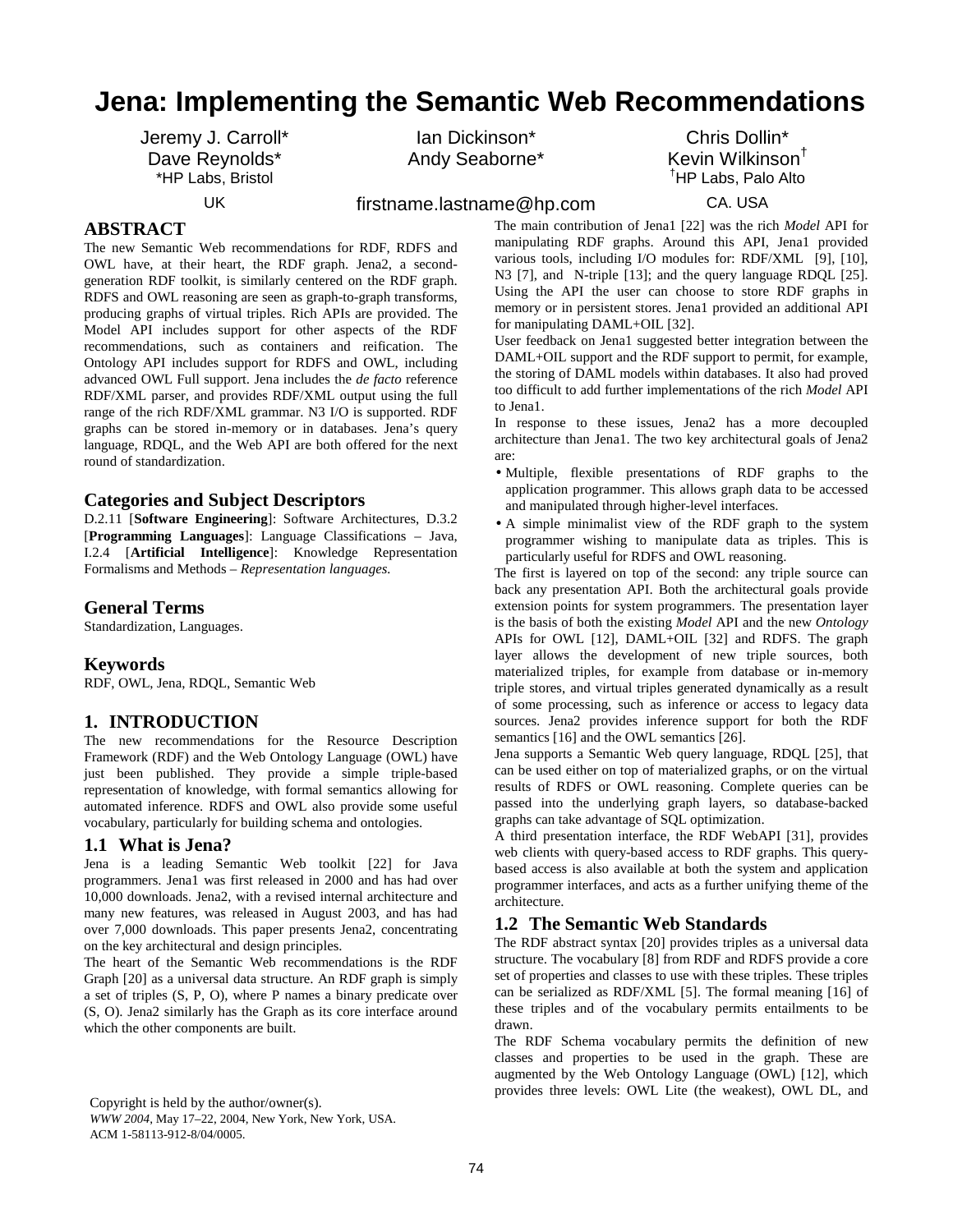# **Jena: Implementing the Semantic Web Recommendations**

Jeremy J. Carroll\* Dave Reynolds\* \*HP Labs, Bristol UK

Ian Dickinson\* Andy Seaborne\*

Chris Dollin\* Kevin Wilkinson† †HP Labs, Palo Alto CA. USA

#### firstname.lastname@hp.com

## **ABSTRACT**

The new Semantic Web recommendations for RDF, RDFS and OWL have, at their heart, the RDF graph. Jena2, a secondgeneration RDF toolkit, is similarly centered on the RDF graph. RDFS and OWL reasoning are seen as graph-to-graph transforms, producing graphs of virtual triples. Rich APIs are provided. The Model API includes support for other aspects of the RDF recommendations, such as containers and reification. The Ontology API includes support for RDFS and OWL, including advanced OWL Full support. Jena includes the *de facto* reference RDF/XML parser, and provides RDF/XML output using the full range of the rich RDF/XML grammar. N3 I/O is supported. RDF graphs can be stored in-memory or in databases. Jena's query language, RDQL, and the Web API are both offered for the next round of standardization.

#### **Categories and Subject Descriptors**

D.2.11 [**Software Engineering**]: Software Architectures, D.3.2 [**Programming Languages**]: Language Classifications – Java, I.2.4 [**Artificial Intelligence**]: Knowledge Representation Formalisms and Methods – *Representation languages.* 

## **General Terms**

Standardization, Languages.

#### **Keywords**

RDF, OWL, Jena, RDQL, Semantic Web

#### **1. INTRODUCTION**

The new recommendations for the Resource Description Framework (RDF) and the Web Ontology Language (OWL) have just been published. They provide a simple triple-based representation of knowledge, with formal semantics allowing for automated inference. RDFS and OWL also provide some useful vocabulary, particularly for building schema and ontologies.

#### **1.1 What is Jena?**

Jena is a leading Semantic Web toolkit [22] for Java programmers. Jena1 was first released in 2000 and has had over 10,000 downloads. Jena2, with a revised internal architecture and many new features, was released in August 2003, and has had over 7,000 downloads. This paper presents Jena2, concentrating on the key architectural and design principles.

The heart of the Semantic Web recommendations is the RDF Graph [20] as a universal data structure. An RDF graph is simply a set of triples (S, P, O), where P names a binary predicate over (S, O). Jena2 similarly has the Graph as its core interface around which the other components are built.

Copyright is held by the author/owner(s). *WWW 2004*, May 17–22, 2004, New York, New York, USA. ACM 1-58113-912-8/04/0005.

The main contribution of Jena1 [22] was the rich *Model* API for manipulating RDF graphs. Around this API, Jena1 provided various tools, including I/O modules for: RDF/XML [9], [10], N<sub>3</sub> [7], and N-triple [13]; and the query language RDQL [25]. Using the API the user can choose to store RDF graphs in memory or in persistent stores. Jena1 provided an additional API for manipulating DAML+OIL [32].

User feedback on Jena1 suggested better integration between the DAML+OIL support and the RDF support to permit, for example, the storing of DAML models within databases. It also had proved too difficult to add further implementations of the rich *Model* API to Jena1.

In response to these issues, Jena2 has a more decoupled architecture than Jena1. The two key architectural goals of Jena2 are:

- Multiple, flexible presentations of RDF graphs to the application programmer. This allows graph data to be accessed and manipulated through higher-level interfaces.
- A simple minimalist view of the RDF graph to the system programmer wishing to manipulate data as triples. This is particularly useful for RDFS and OWL reasoning.

The first is layered on top of the second: any triple source can back any presentation API. Both the architectural goals provide extension points for system programmers. The presentation layer is the basis of both the existing *Model* API and the new *Ontology*  APIs for OWL [12], DAML+OIL [32] and RDFS. The graph layer allows the development of new triple sources, both materialized triples, for example from database or in-memory triple stores, and virtual triples generated dynamically as a result of some processing, such as inference or access to legacy data sources. Jena2 provides inference support for both the RDF semantics [16] and the OWL semantics [26].

Jena supports a Semantic Web query language, RDQL [25], that can be used either on top of materialized graphs, or on the virtual results of RDFS or OWL reasoning. Complete queries can be passed into the underlying graph layers, so database-backed graphs can take advantage of SQL optimization.

A third presentation interface, the RDF WebAPI [31], provides web clients with query-based access to RDF graphs. This querybased access is also available at both the system and application programmer interfaces, and acts as a further unifying theme of the architecture.

#### **1.2 The Semantic Web Standards**

The RDF abstract syntax [20] provides triples as a universal data structure. The vocabulary [8] from RDF and RDFS provide a core set of properties and classes to use with these triples. These triples can be serialized as RDF/XML [5]. The formal meaning [16] of these triples and of the vocabulary permits entailments to be drawn.

The RDF Schema vocabulary permits the definition of new classes and properties to be used in the graph. These are augmented by the Web Ontology Language (OWL) [12], which provides three levels: OWL Lite (the weakest), OWL DL, and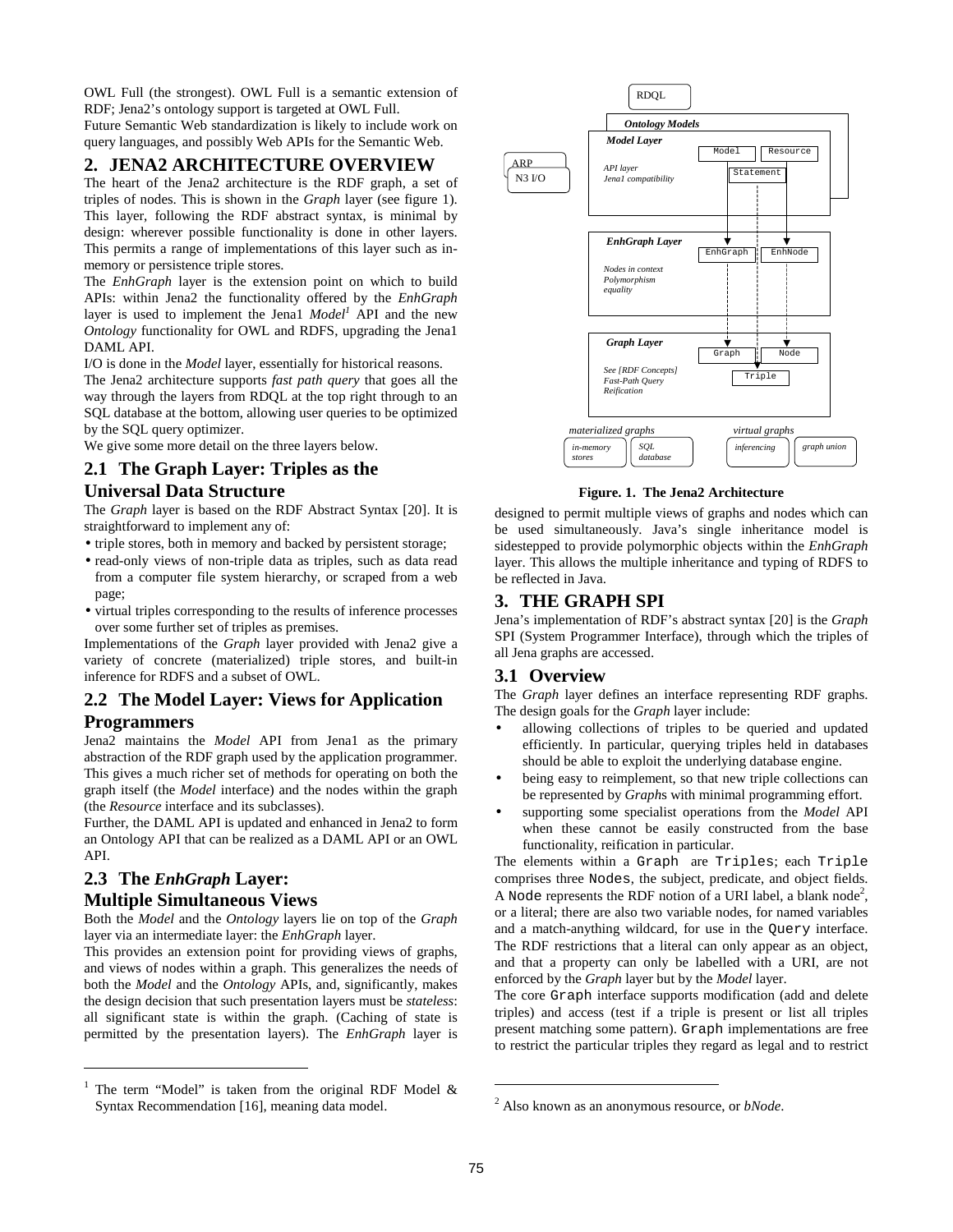OWL Full (the strongest). OWL Full is a semantic extension of RDF; Jena2's ontology support is targeted at OWL Full.

Future Semantic Web standardization is likely to include work on query languages, and possibly Web APIs for the Semantic Web.

## **2. JENA2 ARCHITECTURE OVERVIEW**

The heart of the Jena2 architecture is the RDF graph, a set of triples of nodes. This is shown in the *Graph* layer (see figure 1). This layer, following the RDF abstract syntax, is minimal by design: wherever possible functionality is done in other layers. This permits a range of implementations of this layer such as inmemory or persistence triple stores.

The *EnhGraph* layer is the extension point on which to build APIs: within Jena2 the functionality offered by the *EnhGraph* layer is used to implement the Jena1 *Model<sup>1</sup>* API and the new *Ontology* functionality for OWL and RDFS, upgrading the Jena1 DAML API.

I/O is done in the *Model* layer, essentially for historical reasons.

The Jena2 architecture supports *fast path query* that goes all the way through the layers from RDQL at the top right through to an SQL database at the bottom, allowing user queries to be optimized by the SQL query optimizer.

We give some more detail on the three layers below.

## **2.1 The Graph Layer: Triples as the Universal Data Structure**

The *Graph* layer is based on the RDF Abstract Syntax [20]. It is straightforward to implement any of:

- triple stores, both in memory and backed by persistent storage;
- read-only views of non-triple data as triples, such as data read from a computer file system hierarchy, or scraped from a web page;
- virtual triples corresponding to the results of inference processes over some further set of triples as premises.

Implementations of the *Graph* layer provided with Jena2 give a variety of concrete (materialized) triple stores, and built-in inference for RDFS and a subset of OWL.

#### **2.2 The Model Layer: Views for Application**

#### **Programmers**

1

Jena2 maintains the *Model* API from Jena1 as the primary abstraction of the RDF graph used by the application programmer. This gives a much richer set of methods for operating on both the graph itself (the *Model* interface) and the nodes within the graph (the *Resource* interface and its subclasses).

Further, the DAML API is updated and enhanced in Jena2 to form an Ontology API that can be realized as a DAML API or an OWL API.

## **2.3 The** *EnhGraph* **Layer:**

#### **Multiple Simultaneous Views**

Both the *Model* and the *Ontology* layers lie on top of the *Graph* layer via an intermediate layer: the *EnhGraph* layer.

This provides an extension point for providing views of graphs, and views of nodes within a graph. This generalizes the needs of both the *Model* and the *Ontology* APIs, and, significantly, makes the design decision that such presentation layers must be *stateless*: all significant state is within the graph. (Caching of state is permitted by the presentation layers). The *EnhGraph* layer is



#### **Figure. 1. The Jena2 Architecture**

designed to permit multiple views of graphs and nodes which can be used simultaneously. Java's single inheritance model is sidestepped to provide polymorphic objects within the *EnhGraph* layer. This allows the multiple inheritance and typing of RDFS to be reflected in Java.

## **3. THE GRAPH SPI**

Jena's implementation of RDF's abstract syntax [20] is the *Graph* SPI (System Programmer Interface), through which the triples of all Jena graphs are accessed.

## **3.1 Overview**

The *Graph* layer defines an interface representing RDF graphs. The design goals for the *Graph* layer include:

- allowing collections of triples to be queried and updated efficiently. In particular, querying triples held in databases should be able to exploit the underlying database engine.
- being easy to reimplement, so that new triple collections can be represented by *Graph*s with minimal programming effort.
- supporting some specialist operations from the *Model* API when these cannot be easily constructed from the base functionality, reification in particular.

The elements within a Graph are Triples; each Triple comprises three Nodes, the subject, predicate, and object fields. A Node represents the RDF notion of a URI label, a blank node<sup>2</sup>, or a literal; there are also two variable nodes, for named variables and a match-anything wildcard, for use in the Query interface. The RDF restrictions that a literal can only appear as an object, and that a property can only be labelled with a URI, are not enforced by the *Graph* layer but by the *Model* layer.

The core Graph interface supports modification (add and delete triples) and access (test if a triple is present or list all triples present matching some pattern). Graph implementations are free to restrict the particular triples they regard as legal and to restrict

<sup>1</sup> The term "Model" is taken from the original RDF Model & Syntax Recommendation [16], meaning data model.

<sup>2</sup> Also known as an anonymous resource, or *bNode*.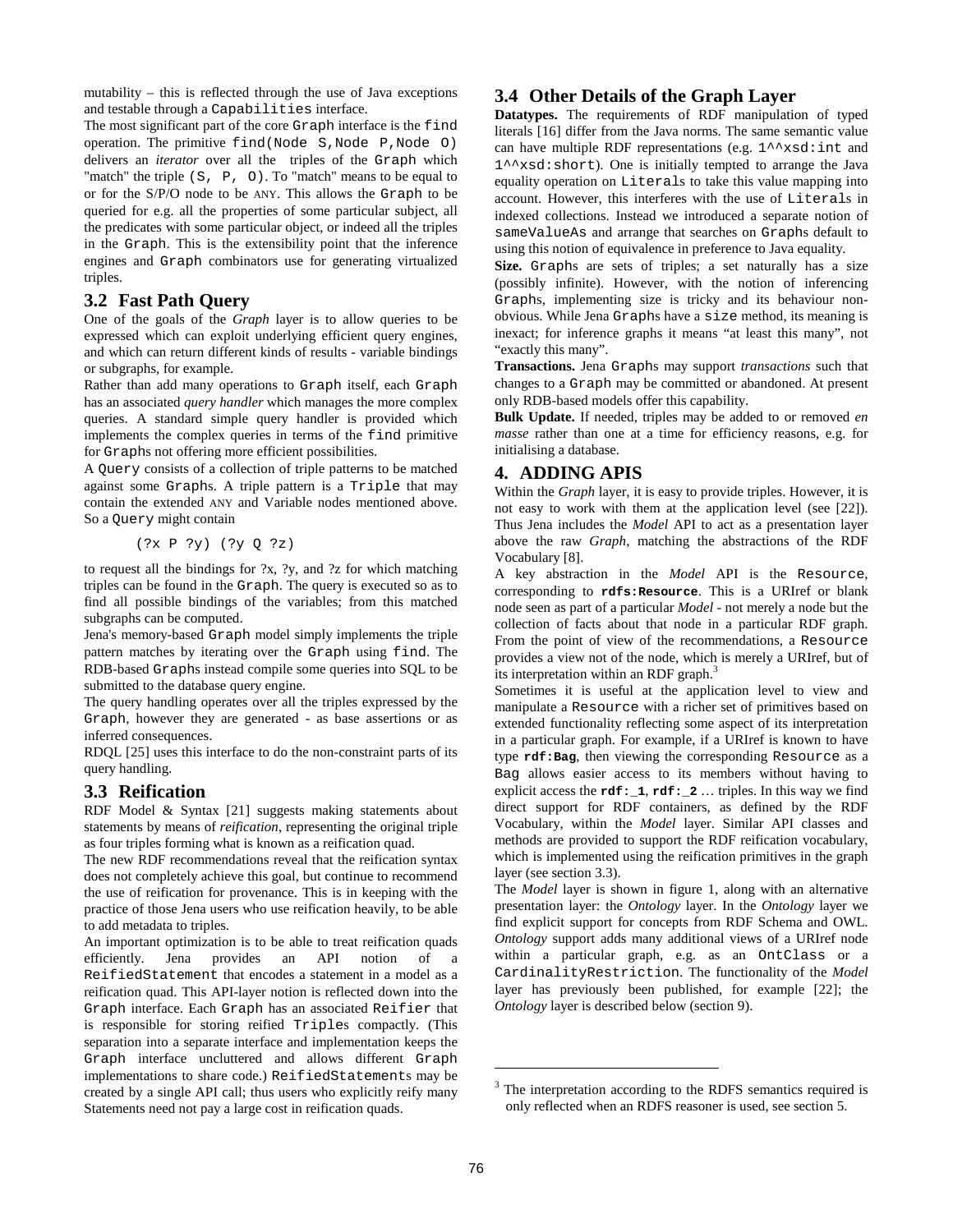mutability – this is reflected through the use of Java exceptions and testable through a Capabilities interface.

The most significant part of the core Graph interface is the find operation. The primitive find(Node S,Node P,Node O) delivers an *iterator* over all the triples of the Graph which "match" the triple  $(S, P, O)$ . To "match" means to be equal to or for the S/P/O node to be ANY. This allows the Graph to be queried for e.g. all the properties of some particular subject, all the predicates with some particular object, or indeed all the triples in the Graph. This is the extensibility point that the inference engines and Graph combinators use for generating virtualized triples.

#### **3.2 Fast Path Query**

One of the goals of the *Graph* layer is to allow queries to be expressed which can exploit underlying efficient query engines, and which can return different kinds of results - variable bindings or subgraphs, for example.

Rather than add many operations to Graph itself, each Graph has an associated *query handler* which manages the more complex queries. A standard simple query handler is provided which implements the complex queries in terms of the find primitive for Graphs not offering more efficient possibilities.

A Query consists of a collection of triple patterns to be matched against some Graphs. A triple pattern is a Triple that may contain the extended ANY and Variable nodes mentioned above. So a Query might contain

(?x P ?y) (?y Q ?z)

to request all the bindings for ?x, ?y, and ?z for which matching triples can be found in the Graph. The query is executed so as to find all possible bindings of the variables; from this matched subgraphs can be computed.

Jena's memory-based Graph model simply implements the triple pattern matches by iterating over the Graph using find. The RDB-based Graphs instead compile some queries into SQL to be submitted to the database query engine.

The query handling operates over all the triples expressed by the Graph, however they are generated - as base assertions or as inferred consequences.

RDQL [25] uses this interface to do the non-constraint parts of its query handling.

#### **3.3 Reification**

RDF Model & Syntax [21] suggests making statements about statements by means of *reification*, representing the original triple as four triples forming what is known as a reification quad.

The new RDF recommendations reveal that the reification syntax does not completely achieve this goal, but continue to recommend the use of reification for provenance. This is in keeping with the practice of those Jena users who use reification heavily, to be able to add metadata to triples.

An important optimization is to be able to treat reification quads efficiently. Jena provides an API notion of a ReifiedStatement that encodes a statement in a model as a reification quad. This API-layer notion is reflected down into the Graph interface. Each Graph has an associated Reifier that is responsible for storing reified Triples compactly. (This separation into a separate interface and implementation keeps the Graph interface uncluttered and allows different Graph implementations to share code.) ReifiedStatements may be created by a single API call; thus users who explicitly reify many Statements need not pay a large cost in reification quads.

## **3.4 Other Details of the Graph Layer**

**Datatypes.** The requirements of RDF manipulation of typed literals [16] differ from the Java norms. The same semantic value can have multiple RDF representations (e.g.  $1^{\lambda}$ xsd:int and 1^^xsd: short). One is initially tempted to arrange the Java equality operation on Literals to take this value mapping into account. However, this interferes with the use of Literals in indexed collections. Instead we introduced a separate notion of sameValueAs and arrange that searches on Graphs default to using this notion of equivalence in preference to Java equality.

Size. Graphs are sets of triples; a set naturally has a size (possibly infinite). However, with the notion of inferencing Graphs, implementing size is tricky and its behaviour nonobvious. While Jena Graphs have a size method, its meaning is inexact; for inference graphs it means "at least this many", not "exactly this many".

**Transactions.** Jena Graphs may support *transactions* such that changes to a Graph may be committed or abandoned. At present only RDB-based models offer this capability.

**Bulk Update.** If needed, triples may be added to or removed *en masse* rather than one at a time for efficiency reasons, e.g. for initialising a database.

## **4. ADDING APIS**

Within the *Graph* layer, it is easy to provide triples. However, it is not easy to work with them at the application level (see [22]). Thus Jena includes the *Model* API to act as a presentation layer above the raw *Graph*, matching the abstractions of the RDF Vocabulary [8].

A key abstraction in the *Model* API is the Resource, corresponding to **rdfs:Resource**. This is a URIref or blank node seen as part of a particular *Model* - not merely a node but the collection of facts about that node in a particular RDF graph. From the point of view of the recommendations, a Resource provides a view not of the node, which is merely a URIref, but of its interpretation within an RDF graph.<sup>3</sup>

Sometimes it is useful at the application level to view and manipulate a Resource with a richer set of primitives based on extended functionality reflecting some aspect of its interpretation in a particular graph. For example, if a URIref is known to have type **rdf:Bag**, then viewing the corresponding Resource as a Bag allows easier access to its members without having to explicit access the **rdf:\_1**, **rdf:\_2** … triples. In this way we find direct support for RDF containers, as defined by the RDF Vocabulary, within the *Model* layer. Similar API classes and methods are provided to support the RDF reification vocabulary, which is implemented using the reification primitives in the graph layer (see section 3.3).

The *Model* layer is shown in figure 1, along with an alternative presentation layer: the *Ontology* layer. In the *Ontology* layer we find explicit support for concepts from RDF Schema and OWL. *Ontology* support adds many additional views of a URIref node within a particular graph, e.g. as an OntClass or a CardinalityRestriction. The functionality of the *Model* layer has previously been published, for example [22]; the *Ontology* layer is described below (section 9).

<sup>&</sup>lt;sup>3</sup> The interpretation according to the RDFS semantics required is only reflected when an RDFS reasoner is used, see section 5.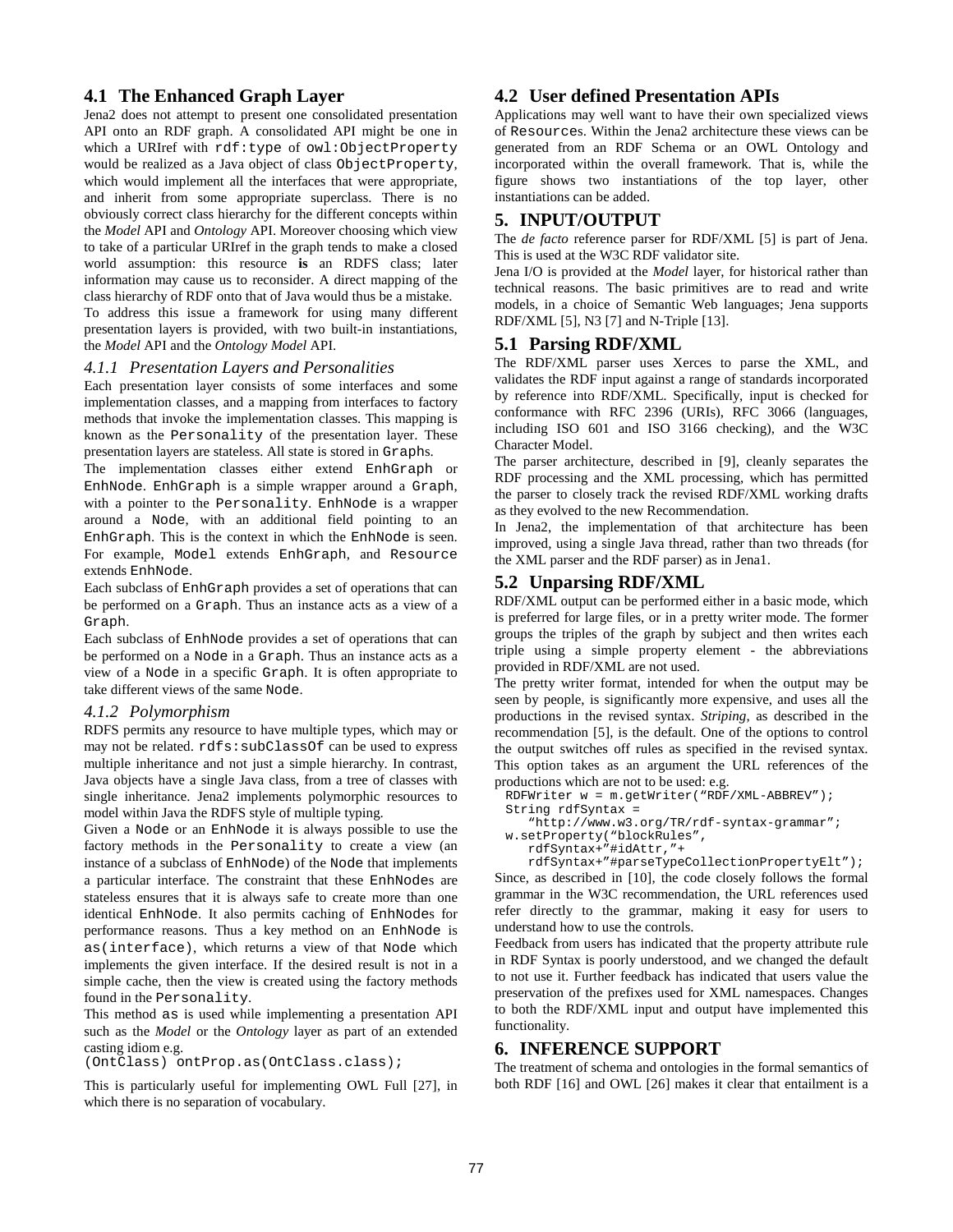## **4.1 The Enhanced Graph Layer**

Jena2 does not attempt to present one consolidated presentation API onto an RDF graph. A consolidated API might be one in which a URIref with rdf:type of owl:ObjectProperty would be realized as a Java object of class ObjectProperty, which would implement all the interfaces that were appropriate, and inherit from some appropriate superclass. There is no obviously correct class hierarchy for the different concepts within the *Model* API and *Ontology* API. Moreover choosing which view to take of a particular URIref in the graph tends to make a closed world assumption: this resource **is** an RDFS class; later information may cause us to reconsider. A direct mapping of the class hierarchy of RDF onto that of Java would thus be a mistake. To address this issue a framework for using many different

presentation layers is provided, with two built-in instantiations, the *Model* API and the *Ontology Model* API.

#### *4.1.1 Presentation Layers and Personalities*

Each presentation layer consists of some interfaces and some implementation classes, and a mapping from interfaces to factory methods that invoke the implementation classes. This mapping is known as the Personality of the presentation layer. These presentation layers are stateless. All state is stored in Graphs.

The implementation classes either extend EnhGraph or EnhNode. EnhGraph is a simple wrapper around a Graph, with a pointer to the Personality. EnhNode is a wrapper around a Node, with an additional field pointing to an EnhGraph. This is the context in which the EnhNode is seen. For example, Model extends EnhGraph, and Resource extends EnhNode.

Each subclass of EnhGraph provides a set of operations that can be performed on a Graph. Thus an instance acts as a view of a Graph.

Each subclass of EnhNode provides a set of operations that can be performed on a Node in a Graph. Thus an instance acts as a view of a Node in a specific Graph. It is often appropriate to take different views of the same Node.

#### *4.1.2 Polymorphism*

RDFS permits any resource to have multiple types, which may or may not be related. rdfs:subClassOf can be used to express multiple inheritance and not just a simple hierarchy. In contrast, Java objects have a single Java class, from a tree of classes with single inheritance. Jena2 implements polymorphic resources to model within Java the RDFS style of multiple typing.

Given a Node or an EnhNode it is always possible to use the factory methods in the Personality to create a view (an instance of a subclass of EnhNode) of the Node that implements a particular interface. The constraint that these EnhNodes are stateless ensures that it is always safe to create more than one identical EnhNode. It also permits caching of EnhNodes for performance reasons. Thus a key method on an EnhNode is as(interface), which returns a view of that Node which implements the given interface. If the desired result is not in a simple cache, then the view is created using the factory methods found in the Personality.

This method as is used while implementing a presentation API such as the *Model* or the *Ontology* layer as part of an extended casting idiom e.g.

(OntClass) ontProp.as(OntClass.class);

This is particularly useful for implementing OWL Full [27], in which there is no separation of vocabulary.

### **4.2 User defined Presentation APIs**

Applications may well want to have their own specialized views of Resources. Within the Jena2 architecture these views can be generated from an RDF Schema or an OWL Ontology and incorporated within the overall framework. That is, while the figure shows two instantiations of the top layer, other instantiations can be added.

## **5. INPUT/OUTPUT**

The *de facto* reference parser for RDF/XML [5] is part of Jena. This is used at the W3C RDF validator site.

Jena I/O is provided at the *Model* layer, for historical rather than technical reasons. The basic primitives are to read and write models, in a choice of Semantic Web languages; Jena supports RDF/XML [5], N3 [7] and N-Triple [13].

## **5.1 Parsing RDF/XML**

The RDF/XML parser uses Xerces to parse the XML, and validates the RDF input against a range of standards incorporated by reference into RDF/XML. Specifically, input is checked for conformance with RFC 2396 (URIs), RFC 3066 (languages, including ISO 601 and ISO 3166 checking), and the W3C Character Model.

The parser architecture, described in [9], cleanly separates the RDF processing and the XML processing, which has permitted the parser to closely track the revised RDF/XML working drafts as they evolved to the new Recommendation.

In Jena2, the implementation of that architecture has been improved, using a single Java thread, rather than two threads (for the XML parser and the RDF parser) as in Jena1.

## **5.2 Unparsing RDF/XML**

RDF/XML output can be performed either in a basic mode, which is preferred for large files, or in a pretty writer mode. The former groups the triples of the graph by subject and then writes each triple using a simple property element - the abbreviations provided in RDF/XML are not used.

The pretty writer format, intended for when the output may be seen by people, is significantly more expensive, and uses all the productions in the revised syntax. *Striping*, as described in the recommendation [5], is the default. One of the options to control the output switches off rules as specified in the revised syntax. This option takes as an argument the URL references of the productions which are not to be used: e.g.

```
RDFWriter w = m.getWriter("RDF/XML-ABBREV"); 
String rdfSyntax = 
    "http://www.w3.org/TR/rdf-syntax-grammar"; 
w.setProperty("blockRules", 
    rdfSyntax+"#idAttr,"+
```
 rdfSyntax+"#parseTypeCollectionPropertyElt"); Since, as described in [10], the code closely follows the formal grammar in the W3C recommendation, the URL references used refer directly to the grammar, making it easy for users to understand how to use the controls.

Feedback from users has indicated that the property attribute rule in RDF Syntax is poorly understood, and we changed the default to not use it. Further feedback has indicated that users value the preservation of the prefixes used for XML namespaces. Changes to both the RDF/XML input and output have implemented this functionality.

#### **6. INFERENCE SUPPORT**

The treatment of schema and ontologies in the formal semantics of both RDF [16] and OWL [26] makes it clear that entailment is a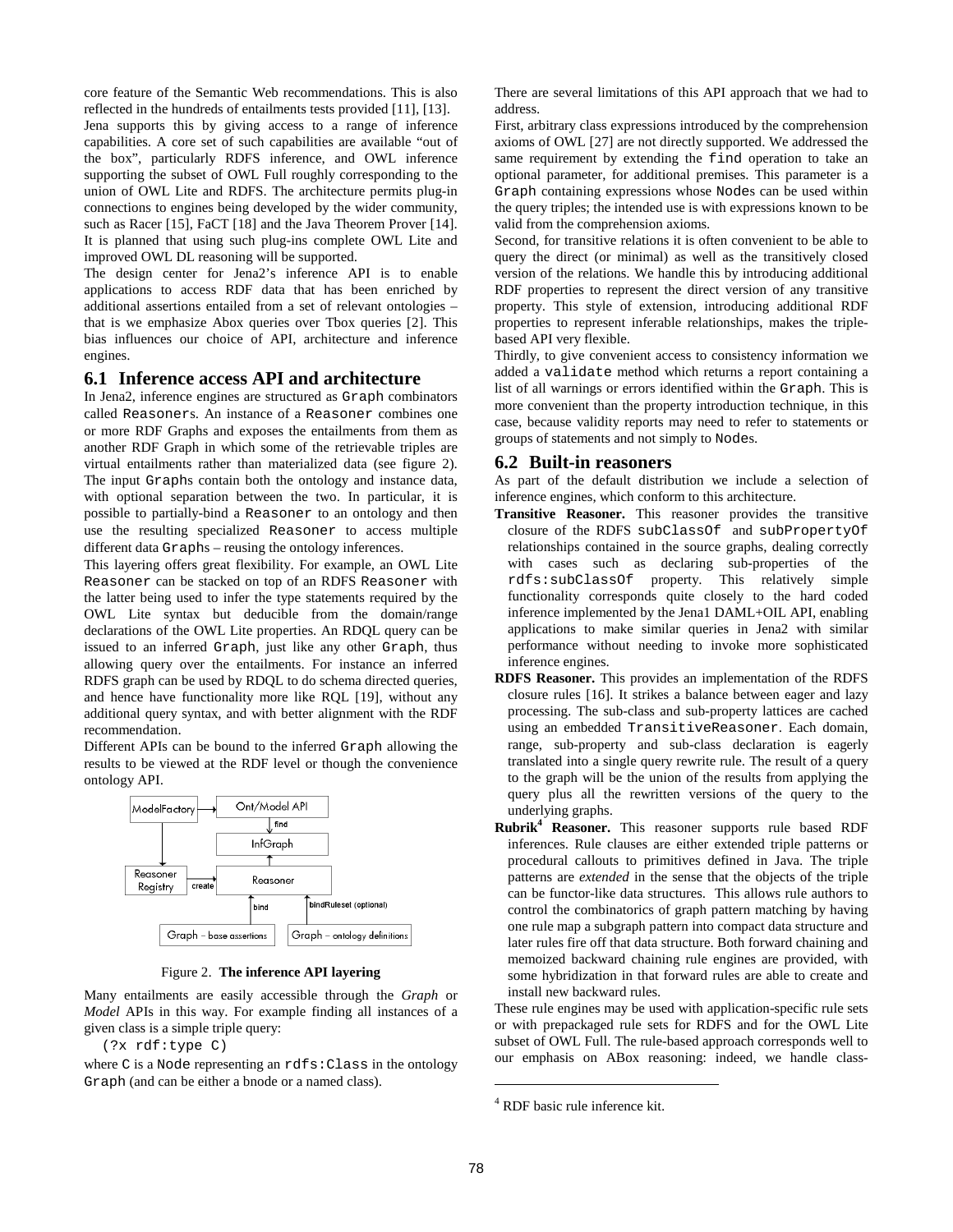core feature of the Semantic Web recommendations. This is also reflected in the hundreds of entailments tests provided [11], [13].

Jena supports this by giving access to a range of inference capabilities. A core set of such capabilities are available "out of the box", particularly RDFS inference, and OWL inference supporting the subset of OWL Full roughly corresponding to the union of OWL Lite and RDFS. The architecture permits plug-in connections to engines being developed by the wider community, such as Racer [15], FaCT [18] and the Java Theorem Prover [14]. It is planned that using such plug-ins complete OWL Lite and improved OWL DL reasoning will be supported.

The design center for Jena2's inference API is to enable applications to access RDF data that has been enriched by additional assertions entailed from a set of relevant ontologies – that is we emphasize Abox queries over Tbox queries [2]. This bias influences our choice of API, architecture and inference engines.

#### **6.1 Inference access API and architecture**

In Jena2, inference engines are structured as Graph combinators called Reasoners. An instance of a Reasoner combines one or more RDF Graphs and exposes the entailments from them as another RDF Graph in which some of the retrievable triples are virtual entailments rather than materialized data (see figure 2). The input Graphs contain both the ontology and instance data, with optional separation between the two. In particular, it is possible to partially-bind a Reasoner to an ontology and then use the resulting specialized Reasoner to access multiple different data Graphs – reusing the ontology inferences.

This layering offers great flexibility. For example, an OWL Lite Reasoner can be stacked on top of an RDFS Reasoner with the latter being used to infer the type statements required by the OWL Lite syntax but deducible from the domain/range declarations of the OWL Lite properties. An RDQL query can be issued to an inferred Graph, just like any other Graph, thus allowing query over the entailments. For instance an inferred RDFS graph can be used by RDQL to do schema directed queries, and hence have functionality more like RQL [19], without any additional query syntax, and with better alignment with the RDF recommendation.

Different APIs can be bound to the inferred Graph allowing the results to be viewed at the RDF level or though the convenience ontology API.



#### Figure 2. **The inference API layering**

Many entailments are easily accessible through the *Graph* or *Model* APIs in this way. For example finding all instances of a given class is a simple triple query:

(?x rdf:type C)

where C is a Node representing an rdfs: Class in the ontology Graph (and can be either a bnode or a named class).

There are several limitations of this API approach that we had to address.

First, arbitrary class expressions introduced by the comprehension axioms of OWL [27] are not directly supported. We addressed the same requirement by extending the find operation to take an optional parameter, for additional premises. This parameter is a Graph containing expressions whose Nodes can be used within the query triples; the intended use is with expressions known to be valid from the comprehension axioms.

Second, for transitive relations it is often convenient to be able to query the direct (or minimal) as well as the transitively closed version of the relations. We handle this by introducing additional RDF properties to represent the direct version of any transitive property. This style of extension, introducing additional RDF properties to represent inferable relationships, makes the triplebased API very flexible.

Thirdly, to give convenient access to consistency information we added a validate method which returns a report containing a list of all warnings or errors identified within the Graph. This is more convenient than the property introduction technique, in this case, because validity reports may need to refer to statements or groups of statements and not simply to Nodes.

#### **6.2 Built-in reasoners**

As part of the default distribution we include a selection of inference engines, which conform to this architecture.

- **Transitive Reasoner.** This reasoner provides the transitive closure of the RDFS subClassOf and subPropertyOf relationships contained in the source graphs, dealing correctly with cases such as declaring sub-properties of the rdfs:subClassOf property. This relatively simple functionality corresponds quite closely to the hard coded inference implemented by the Jena1 DAML+OIL API, enabling applications to make similar queries in Jena2 with similar performance without needing to invoke more sophisticated inference engines.
- **RDFS Reasoner.** This provides an implementation of the RDFS closure rules [16]. It strikes a balance between eager and lazy processing. The sub-class and sub-property lattices are cached using an embedded TransitiveReasoner. Each domain, range, sub-property and sub-class declaration is eagerly translated into a single query rewrite rule. The result of a query to the graph will be the union of the results from applying the query plus all the rewritten versions of the query to the underlying graphs.
- **Rubrik<sup>4</sup> Reasoner.** This reasoner supports rule based RDF inferences. Rule clauses are either extended triple patterns or procedural callouts to primitives defined in Java. The triple patterns are *extended* in the sense that the objects of the triple can be functor-like data structures. This allows rule authors to control the combinatorics of graph pattern matching by having one rule map a subgraph pattern into compact data structure and later rules fire off that data structure. Both forward chaining and memoized backward chaining rule engines are provided, with some hybridization in that forward rules are able to create and install new backward rules.

These rule engines may be used with application-specific rule sets or with prepackaged rule sets for RDFS and for the OWL Lite subset of OWL Full. The rule-based approach corresponds well to our emphasis on ABox reasoning: indeed, we handle class-

<sup>4</sup> RDF basic rule inference kit.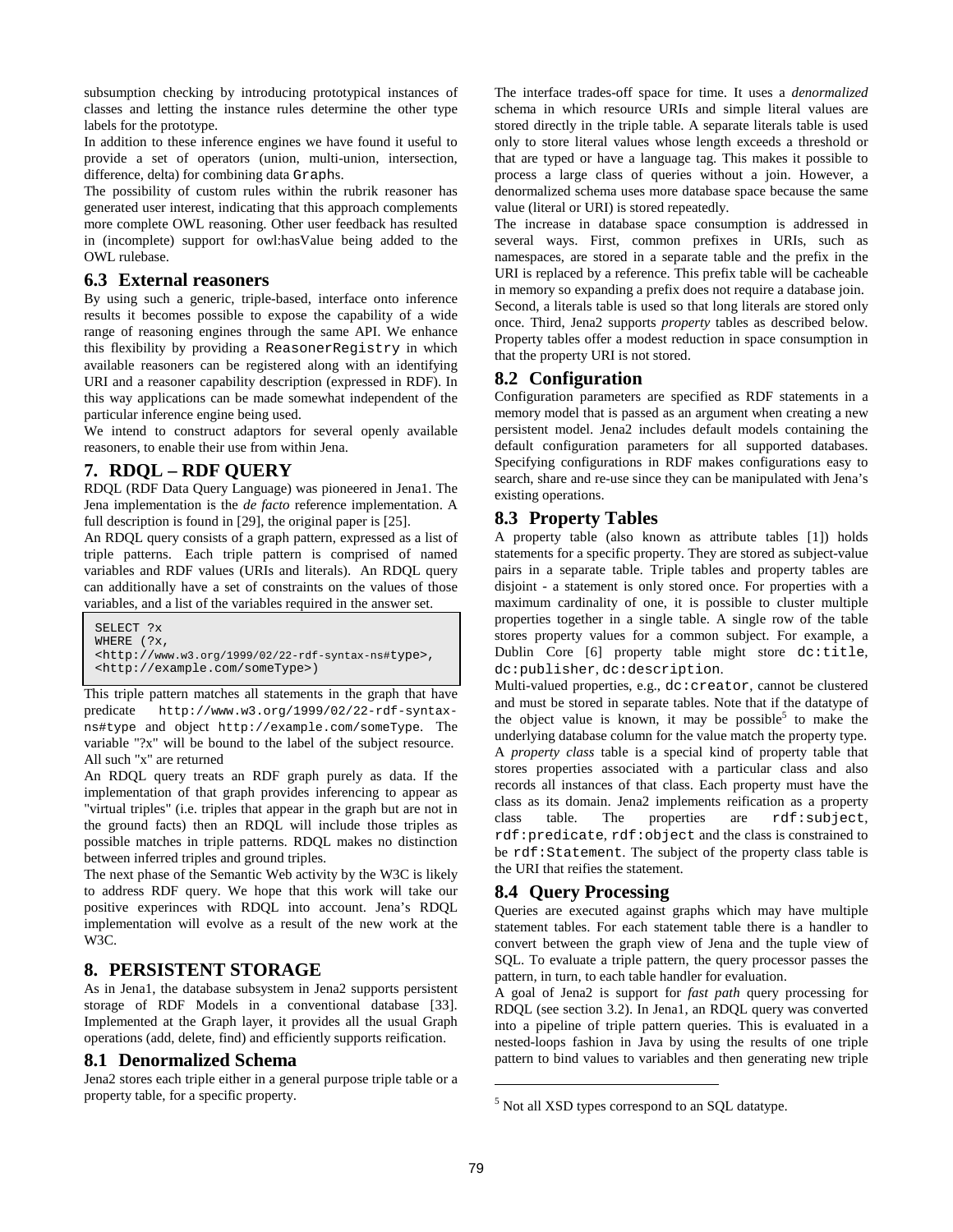subsumption checking by introducing prototypical instances of classes and letting the instance rules determine the other type labels for the prototype.

In addition to these inference engines we have found it useful to provide a set of operators (union, multi-union, intersection, difference, delta) for combining data Graphs.

The possibility of custom rules within the rubrik reasoner has generated user interest, indicating that this approach complements more complete OWL reasoning. Other user feedback has resulted in (incomplete) support for owl:hasValue being added to the OWL rulebase.

#### **6.3 External reasoners**

By using such a generic, triple-based, interface onto inference results it becomes possible to expose the capability of a wide range of reasoning engines through the same API. We enhance this flexibility by providing a ReasonerRegistry in which available reasoners can be registered along with an identifying URI and a reasoner capability description (expressed in RDF). In this way applications can be made somewhat independent of the particular inference engine being used.

We intend to construct adaptors for several openly available reasoners, to enable their use from within Jena.

## **7. RDQL – RDF QUERY**

RDQL (RDF Data Query Language) was pioneered in Jena1. The Jena implementation is the *de facto* reference implementation. A full description is found in [29], the original paper is [25].

An RDQL query consists of a graph pattern, expressed as a list of triple patterns. Each triple pattern is comprised of named variables and RDF values (URIs and literals). An RDQL query can additionally have a set of constraints on the values of those variables, and a list of the variables required in the answer set.

SELECT ?x WHERE (?x, <http://www.w3.org/1999/02/22-rdf-syntax-ns#type>, <http://example.com/someType>)

This triple pattern matches all statements in the graph that have predicate http://www.w3.org/1999/02/22-rdf-syntaxns#type and object http://example.com/someType. The variable "?x" will be bound to the label of the subject resource. All such "x" are returned

An RDQL query treats an RDF graph purely as data. If the implementation of that graph provides inferencing to appear as "virtual triples" (i.e. triples that appear in the graph but are not in the ground facts) then an RDQL will include those triples as possible matches in triple patterns. RDQL makes no distinction between inferred triples and ground triples.

The next phase of the Semantic Web activity by the W3C is likely to address RDF query. We hope that this work will take our positive experinces with RDQL into account. Jena's RDQL implementation will evolve as a result of the new work at the W3C.

#### **8. PERSISTENT STORAGE**

As in Jena1, the database subsystem in Jena2 supports persistent storage of RDF Models in a conventional database [33]. Implemented at the Graph layer, it provides all the usual Graph operations (add, delete, find) and efficiently supports reification.

#### **8.1 Denormalized Schema**

Jena2 stores each triple either in a general purpose triple table or a property table, for a specific property.

The interface trades-off space for time. It uses a *denormalized* schema in which resource URIs and simple literal values are stored directly in the triple table. A separate literals table is used only to store literal values whose length exceeds a threshold or that are typed or have a language tag. This makes it possible to process a large class of queries without a join. However, a denormalized schema uses more database space because the same value (literal or URI) is stored repeatedly.

The increase in database space consumption is addressed in several ways. First, common prefixes in URIs, such as namespaces, are stored in a separate table and the prefix in the URI is replaced by a reference. This prefix table will be cacheable in memory so expanding a prefix does not require a database join. Second, a literals table is used so that long literals are stored only once. Third, Jena2 supports *property* tables as described below. Property tables offer a modest reduction in space consumption in that the property URI is not stored.

#### **8.2 Configuration**

Configuration parameters are specified as RDF statements in a memory model that is passed as an argument when creating a new persistent model. Jena2 includes default models containing the default configuration parameters for all supported databases. Specifying configurations in RDF makes configurations easy to search, share and re-use since they can be manipulated with Jena's existing operations.

## **8.3 Property Tables**

A property table (also known as attribute tables [1]) holds statements for a specific property. They are stored as subject-value pairs in a separate table. Triple tables and property tables are disjoint - a statement is only stored once. For properties with a maximum cardinality of one, it is possible to cluster multiple properties together in a single table. A single row of the table stores property values for a common subject. For example, a Dublin Core [6] property table might store dc:title, dc:publisher, dc:description.

Multi-valued properties, e.g., dc:creator, cannot be clustered and must be stored in separate tables. Note that if the datatype of the object value is known, it may be possible<sup>5</sup> to make the underlying database column for the value match the property type. A *property class* table is a special kind of property table that stores properties associated with a particular class and also records all instances of that class. Each property must have the class as its domain. Jena2 implements reification as a property class table. The properties are rdf:subject, rdf:predicate, rdf:object and the class is constrained to be rdf:Statement. The subject of the property class table is the URI that reifies the statement.

#### **8.4 Query Processing**

Queries are executed against graphs which may have multiple statement tables. For each statement table there is a handler to convert between the graph view of Jena and the tuple view of SQL. To evaluate a triple pattern, the query processor passes the pattern, in turn, to each table handler for evaluation.

A goal of Jena2 is support for *fast path* query processing for RDQL (see section 3.2). In Jena1, an RDQL query was converted into a pipeline of triple pattern queries. This is evaluated in a nested-loops fashion in Java by using the results of one triple pattern to bind values to variables and then generating new triple

<sup>&</sup>lt;sup>5</sup> Not all XSD types correspond to an SQL datatype.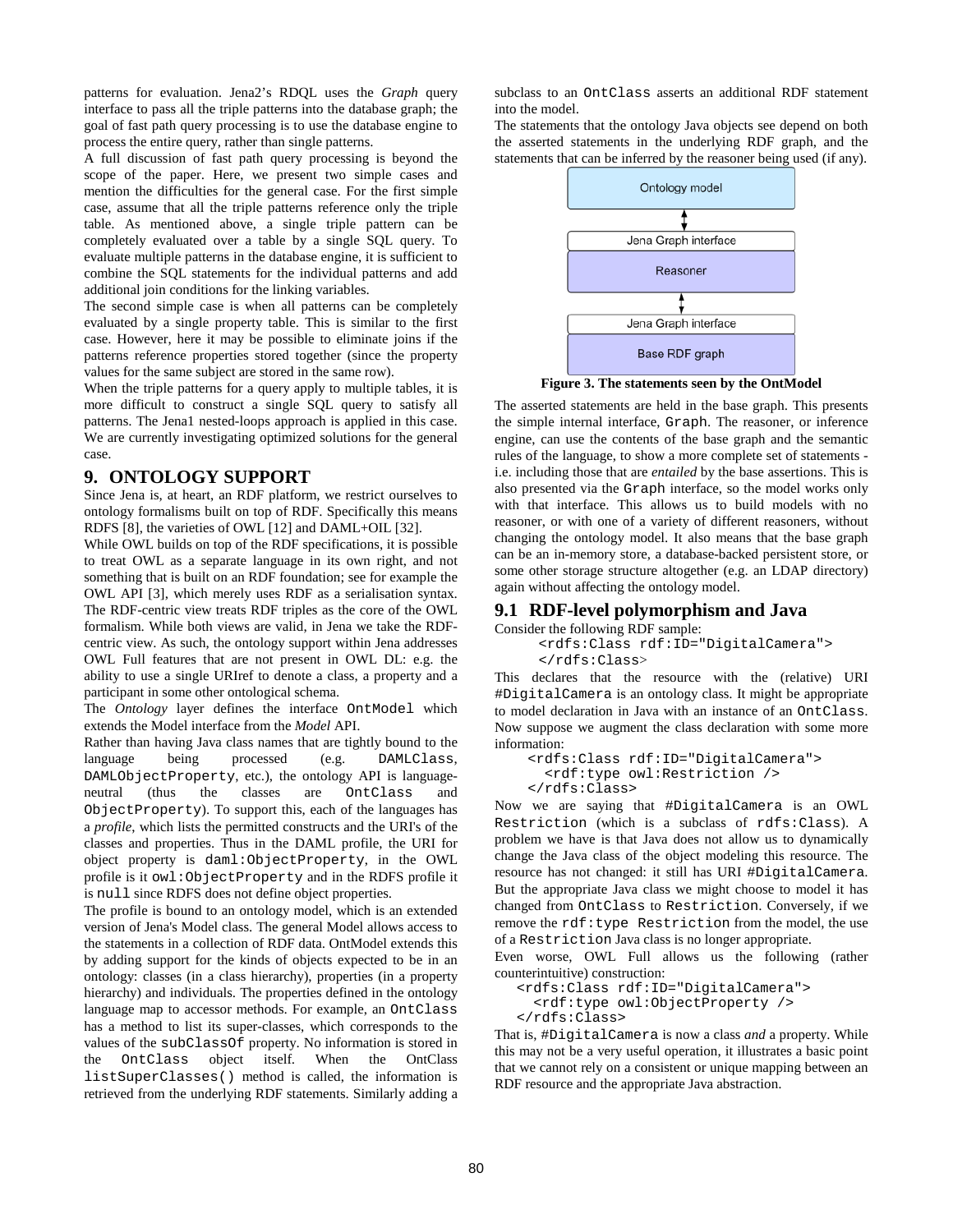patterns for evaluation. Jena2's RDQL uses the *Graph* query interface to pass all the triple patterns into the database graph; the goal of fast path query processing is to use the database engine to process the entire query, rather than single patterns.

A full discussion of fast path query processing is beyond the scope of the paper. Here, we present two simple cases and mention the difficulties for the general case. For the first simple case, assume that all the triple patterns reference only the triple table. As mentioned above, a single triple pattern can be completely evaluated over a table by a single SQL query. To evaluate multiple patterns in the database engine, it is sufficient to combine the SQL statements for the individual patterns and add additional join conditions for the linking variables.

The second simple case is when all patterns can be completely evaluated by a single property table. This is similar to the first case. However, here it may be possible to eliminate joins if the patterns reference properties stored together (since the property values for the same subject are stored in the same row).

When the triple patterns for a query apply to multiple tables, it is more difficult to construct a single SQL query to satisfy all patterns. The Jena1 nested-loops approach is applied in this case. We are currently investigating optimized solutions for the general case.

## **9. ONTOLOGY SUPPORT**

Since Jena is, at heart, an RDF platform, we restrict ourselves to ontology formalisms built on top of RDF. Specifically this means RDFS [8], the varieties of OWL [12] and DAML+OIL [32].

While OWL builds on top of the RDF specifications, it is possible to treat OWL as a separate language in its own right, and not something that is built on an RDF foundation; see for example the OWL API [3], which merely uses RDF as a serialisation syntax. The RDF-centric view treats RDF triples as the core of the OWL formalism. While both views are valid, in Jena we take the RDFcentric view. As such, the ontology support within Jena addresses OWL Full features that are not present in OWL DL: e.g. the ability to use a single URIref to denote a class, a property and a participant in some other ontological schema.

The *Ontology* layer defines the interface OntModel which extends the Model interface from the *Model* API.

Rather than having Java class names that are tightly bound to the language being processed (e.g. DAMLClass, DAMLObjectProperty, etc.), the ontology API is languageneutral (thus the classes are OntClass and ObjectProperty). To support this, each of the languages has a *profile*, which lists the permitted constructs and the URI's of the classes and properties. Thus in the DAML profile, the URI for object property is daml:ObjectProperty, in the OWL profile is it owl:ObjectProperty and in the RDFS profile it is null since RDFS does not define object properties.

The profile is bound to an ontology model, which is an extended version of Jena's Model class. The general Model allows access to the statements in a collection of RDF data. OntModel extends this by adding support for the kinds of objects expected to be in an ontology: classes (in a class hierarchy), properties (in a property hierarchy) and individuals. The properties defined in the ontology language map to accessor methods. For example, an OntClass has a method to list its super-classes, which corresponds to the values of the subClassOf property. No information is stored in the OntClass object itself. When the OntClass listSuperClasses() method is called, the information is retrieved from the underlying RDF statements. Similarly adding a

subclass to an OntClass asserts an additional RDF statement into the model.

The statements that the ontology Java objects see depend on both the asserted statements in the underlying RDF graph, and the statements that can be inferred by the reasoner being used (if any).



**Figure 3. The statements seen by the OntModel** 

The asserted statements are held in the base graph. This presents the simple internal interface, Graph. The reasoner, or inference engine, can use the contents of the base graph and the semantic rules of the language, to show a more complete set of statements i.e. including those that are *entailed* by the base assertions. This is also presented via the Graph interface, so the model works only with that interface. This allows us to build models with no reasoner, or with one of a variety of different reasoners, without changing the ontology model. It also means that the base graph can be an in-memory store, a database-backed persistent store, or some other storage structure altogether (e.g. an LDAP directory) again without affecting the ontology model.

## **9.1 RDF-level polymorphism and Java**

Consider the following RDF sample:

<rdfs:Class rdf:ID="DigitalCamera"> </rdfs:Class>

This declares that the resource with the (relative) URI #DigitalCamera is an ontology class. It might be appropriate to model declaration in Java with an instance of an OntClass. Now suppose we augment the class declaration with some more information:

```
<rdfs:Class rdf:ID="DigitalCamera"> 
   <rdf:type owl:Restriction /> 
</rdfs:Class>
```
Now we are saying that #DigitalCamera is an OWL Restriction (which is a subclass of rdfs:Class). A problem we have is that Java does not allow us to dynamically change the Java class of the object modeling this resource. The resource has not changed: it still has URI #DigitalCamera. But the appropriate Java class we might choose to model it has changed from OntClass to Restriction. Conversely, if we remove the rdf:type Restriction from the model, the use of a Restriction Java class is no longer appropriate.

Even worse, OWL Full allows us the following (rather counterintuitive) construction:

<rdfs:Class rdf:ID="DigitalCamera"> <rdf:type owl:ObjectProperty /> </rdfs:Class>

That is, #DigitalCamera is now a class *and* a property. While this may not be a very useful operation, it illustrates a basic point that we cannot rely on a consistent or unique mapping between an RDF resource and the appropriate Java abstraction.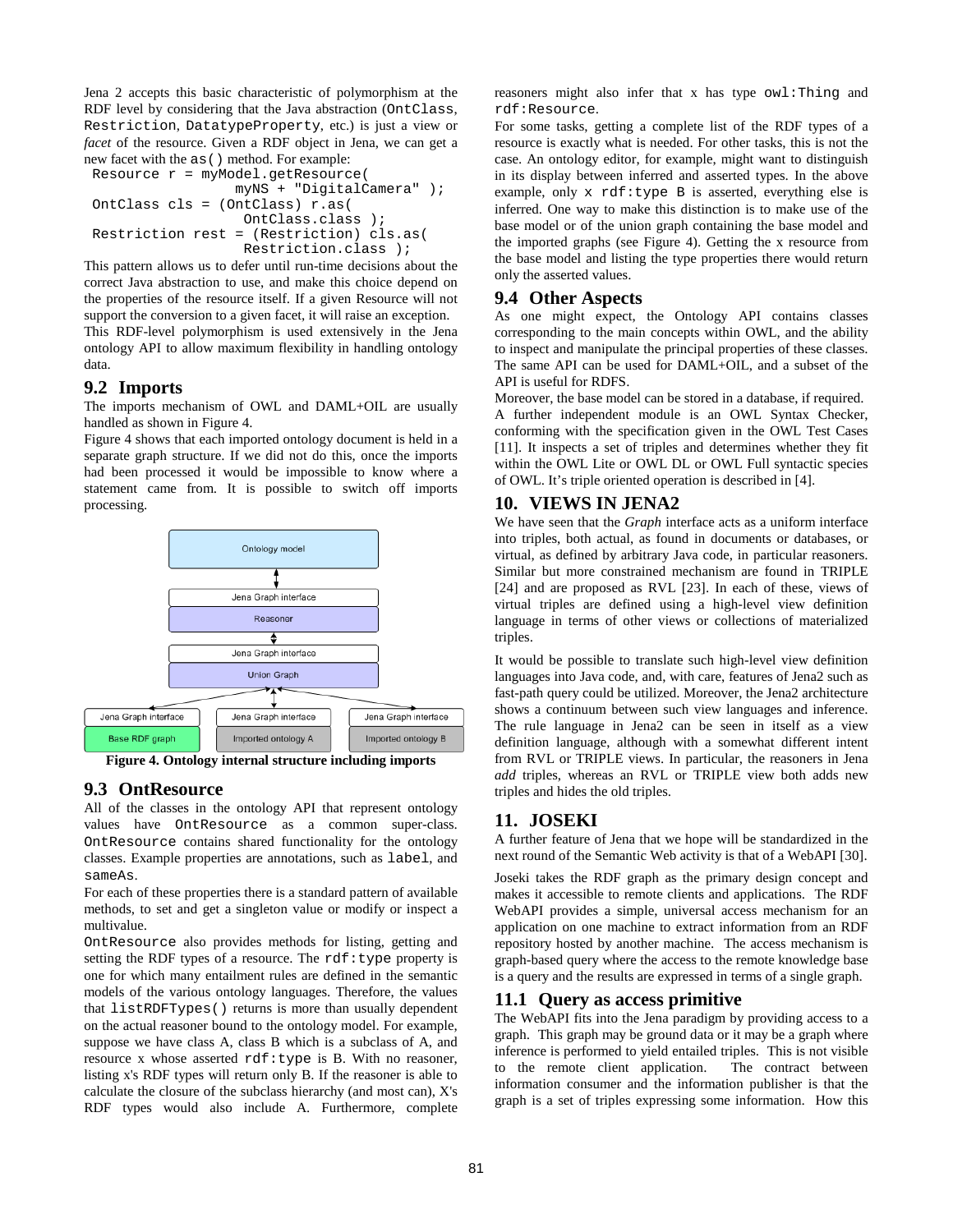Jena 2 accepts this basic characteristic of polymorphism at the RDF level by considering that the Java abstraction (OntClass, Restriction, DatatypeProperty, etc.) is just a view or *facet* of the resource. Given a RDF object in Jena, we can get a new facet with the as() method. For example:

Resource r = myModel.getResource(

```
 myNS + "DigitalCamera" ); 
 OntClass cls = (OntClass) r.as( 
                    OntClass.class ); 
 Restriction rest = (Restriction) cls.as( 
                    Restriction.class );
```
This pattern allows us to defer until run-time decisions about the correct Java abstraction to use, and make this choice depend on the properties of the resource itself. If a given Resource will not support the conversion to a given facet, it will raise an exception. This RDF-level polymorphism is used extensively in the Jena ontology API to allow maximum flexibility in handling ontology data.

#### **9.2 Imports**

The imports mechanism of OWL and DAML+OIL are usually handled as shown in Figure 4.

Figure 4 shows that each imported ontology document is held in a separate graph structure. If we did not do this, once the imports had been processed it would be impossible to know where a statement came from. It is possible to switch off imports processing.



**Figure 4. Ontology internal structure including imports** 

#### **9.3 OntResource**

All of the classes in the ontology API that represent ontology values have OntResource as a common super-class. OntResource contains shared functionality for the ontology classes. Example properties are annotations, such as label, and sameAs.

For each of these properties there is a standard pattern of available methods, to set and get a singleton value or modify or inspect a multivalue.

OntResource also provides methods for listing, getting and setting the RDF types of a resource. The rdf:type property is one for which many entailment rules are defined in the semantic models of the various ontology languages. Therefore, the values that listRDFTypes() returns is more than usually dependent on the actual reasoner bound to the ontology model. For example, suppose we have class A, class B which is a subclass of A, and resource x whose asserted rdf:type is B. With no reasoner, listing x's RDF types will return only B. If the reasoner is able to calculate the closure of the subclass hierarchy (and most can), X's RDF types would also include A. Furthermore, complete

reasoners might also infer that x has type owl:Thing and rdf:Resource.

For some tasks, getting a complete list of the RDF types of a resource is exactly what is needed. For other tasks, this is not the case. An ontology editor, for example, might want to distinguish in its display between inferred and asserted types. In the above example, only x rdf:type B is asserted, everything else is inferred. One way to make this distinction is to make use of the base model or of the union graph containing the base model and the imported graphs (see Figure 4). Getting the x resource from the base model and listing the type properties there would return only the asserted values.

#### **9.4 Other Aspects**

As one might expect, the Ontology API contains classes corresponding to the main concepts within OWL, and the ability to inspect and manipulate the principal properties of these classes. The same API can be used for DAML+OIL, and a subset of the API is useful for RDFS.

Moreover, the base model can be stored in a database, if required. A further independent module is an OWL Syntax Checker, conforming with the specification given in the OWL Test Cases [11]. It inspects a set of triples and determines whether they fit within the OWL Lite or OWL DL or OWL Full syntactic species of OWL. It's triple oriented operation is described in [4].

#### **10. VIEWS IN JENA2**

We have seen that the *Graph* interface acts as a uniform interface into triples, both actual, as found in documents or databases, or virtual, as defined by arbitrary Java code, in particular reasoners. Similar but more constrained mechanism are found in TRIPLE [24] and are proposed as RVL [23]. In each of these, views of virtual triples are defined using a high-level view definition language in terms of other views or collections of materialized triples.

It would be possible to translate such high-level view definition languages into Java code, and, with care, features of Jena2 such as fast-path query could be utilized. Moreover, the Jena2 architecture shows a continuum between such view languages and inference. The rule language in Jena2 can be seen in itself as a view definition language, although with a somewhat different intent from RVL or TRIPLE views. In particular, the reasoners in Jena *add* triples, whereas an RVL or TRIPLE view both adds new triples and hides the old triples.

#### **11. JOSEKI**

A further feature of Jena that we hope will be standardized in the next round of the Semantic Web activity is that of a WebAPI [30].

Joseki takes the RDF graph as the primary design concept and makes it accessible to remote clients and applications. The RDF WebAPI provides a simple, universal access mechanism for an application on one machine to extract information from an RDF repository hosted by another machine. The access mechanism is graph-based query where the access to the remote knowledge base is a query and the results are expressed in terms of a single graph.

#### **11.1 Query as access primitive**

The WebAPI fits into the Jena paradigm by providing access to a graph. This graph may be ground data or it may be a graph where inference is performed to yield entailed triples. This is not visible to the remote client application. The contract between information consumer and the information publisher is that the graph is a set of triples expressing some information. How this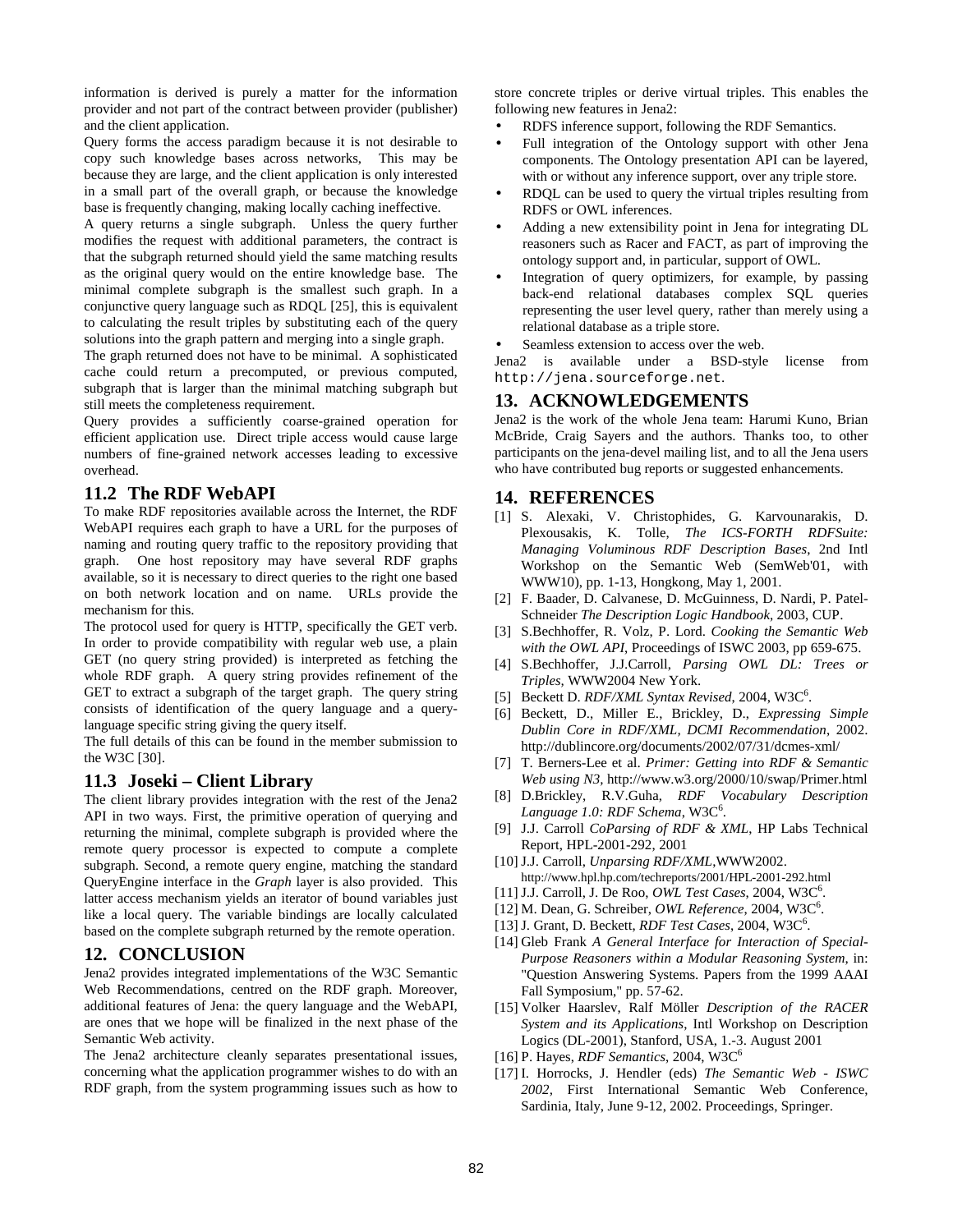information is derived is purely a matter for the information provider and not part of the contract between provider (publisher) and the client application.

Query forms the access paradigm because it is not desirable to copy such knowledge bases across networks, This may be because they are large, and the client application is only interested in a small part of the overall graph, or because the knowledge base is frequently changing, making locally caching ineffective.

A query returns a single subgraph. Unless the query further modifies the request with additional parameters, the contract is that the subgraph returned should yield the same matching results as the original query would on the entire knowledge base. The minimal complete subgraph is the smallest such graph. In a conjunctive query language such as RDQL [25], this is equivalent to calculating the result triples by substituting each of the query solutions into the graph pattern and merging into a single graph.

The graph returned does not have to be minimal. A sophisticated cache could return a precomputed, or previous computed, subgraph that is larger than the minimal matching subgraph but still meets the completeness requirement.

Query provides a sufficiently coarse-grained operation for efficient application use. Direct triple access would cause large numbers of fine-grained network accesses leading to excessive overhead.

## **11.2 The RDF WebAPI**

To make RDF repositories available across the Internet, the RDF WebAPI requires each graph to have a URL for the purposes of naming and routing query traffic to the repository providing that graph. One host repository may have several RDF graphs available, so it is necessary to direct queries to the right one based on both network location and on name. URLs provide the mechanism for this.

The protocol used for query is HTTP, specifically the GET verb. In order to provide compatibility with regular web use, a plain GET (no query string provided) is interpreted as fetching the whole RDF graph. A query string provides refinement of the GET to extract a subgraph of the target graph. The query string consists of identification of the query language and a querylanguage specific string giving the query itself.

The full details of this can be found in the member submission to the W3C [30].

#### **11.3 Joseki – Client Library**

The client library provides integration with the rest of the Jena2 API in two ways. First, the primitive operation of querying and returning the minimal, complete subgraph is provided where the remote query processor is expected to compute a complete subgraph. Second, a remote query engine, matching the standard QueryEngine interface in the *Graph* layer is also provided. This latter access mechanism yields an iterator of bound variables just like a local query. The variable bindings are locally calculated based on the complete subgraph returned by the remote operation.

## **12. CONCLUSION**

Jena2 provides integrated implementations of the W3C Semantic Web Recommendations, centred on the RDF graph. Moreover, additional features of Jena: the query language and the WebAPI, are ones that we hope will be finalized in the next phase of the Semantic Web activity.

The Jena2 architecture cleanly separates presentational issues, concerning what the application programmer wishes to do with an RDF graph, from the system programming issues such as how to store concrete triples or derive virtual triples. This enables the following new features in Jena2:

- RDFS inference support, following the RDF Semantics.
- Full integration of the Ontology support with other Jena components. The Ontology presentation API can be layered, with or without any inference support, over any triple store.
- RDQL can be used to query the virtual triples resulting from RDFS or OWL inferences.
- Adding a new extensibility point in Jena for integrating DL reasoners such as Racer and FACT, as part of improving the ontology support and, in particular, support of OWL.
- Integration of query optimizers, for example, by passing back-end relational databases complex SQL queries representing the user level query, rather than merely using a relational database as a triple store.
- Seamless extension to access over the web.

Jena2 is available under a BSD-style license from http://jena.sourceforge.net.

## **13. ACKNOWLEDGEMENTS**

Jena2 is the work of the whole Jena team: Harumi Kuno, Brian McBride, Craig Sayers and the authors. Thanks too, to other participants on the jena-devel mailing list, and to all the Jena users who have contributed bug reports or suggested enhancements.

## **14. REFERENCES**

- [1] S. Alexaki, V. Christophides, G. Karvounarakis, D. Plexousakis, K. Tolle, *The ICS-FORTH RDFSuite: Managing Voluminous RDF Description Bases*, 2nd Intl Workshop on the Semantic Web (SemWeb'01, with WWW10), pp. 1-13, Hongkong, May 1, 2001.
- [2] F. Baader, D. Calvanese, D. McGuinness, D. Nardi, P. Patel-Schneider *The Description Logic Handbook*, 2003, CUP.
- [3] S.Bechhoffer, R. Volz, P. Lord. *Cooking the Semantic Web with the OWL API*, Proceedings of ISWC 2003, pp 659-675.
- [4] S.Bechhoffer, J.J.Carroll, *Parsing OWL DL: Trees or Triples,* WWW2004 New York.
- [5] Beckett D. *RDF/XML Syntax Revised*, 2004, W3C<sup>6</sup>.
- [6] Beckett, D., Miller E., Brickley, D., *Expressing Simple Dublin Core in RDF/XML, DCMI Recommendation*, 2002. http://dublincore.org/documents/2002/07/31/dcmes-xml/
- [7] T. Berners-Lee et al. *Primer: Getting into RDF & Semantic Web using N3,* http://www.w3.org/2000/10/swap/Primer.html
- [8] D.Brickley, R.V.Guha, *RDF Vocabulary Description*  Language 1.0: RDF Schema, W3C<sup>6</sup>.
- [9] J.J. Carroll *CoParsing of RDF & XML*, HP Labs Technical Report, HPL-2001-292, 2001
- [10] J.J. Carroll, *Unparsing RDF/XML*,WWW2002. http://www.hpl.hp.com/techreports/2001/HPL-2001-292.html
- [11] J.J. Carroll, J. De Roo, *OWL Test Cases*, 2004, W3C<sup>6</sup>.
- [12] M. Dean, G. Schreiber, OWL Reference, 2004, W3C<sup>6</sup>.
- [13] J. Grant, D. Beckett, *RDF Test Cases*, 2004, W3C<sup>6</sup>.
- [14] Gleb Frank *A General Interface for Interaction of Special-Purpose Reasoners within a Modular Reasoning System*, in: "Question Answering Systems. Papers from the 1999 AAAI Fall Symposium," pp. 57-62.
- [15] Volker Haarslev, Ralf Möller *Description of the RACER System and its Applications*, Intl Workshop on Description Logics (DL-2001), Stanford, USA, 1.-3. August 2001
- [16] P. Hayes, *RDF Semantics*, 2004, W3C<sup>6</sup>
- [17] I. Horrocks, J. Hendler (eds) *The Semantic Web ISWC 2002,* First International Semantic Web Conference, Sardinia, Italy, June 9-12, 2002. Proceedings, Springer.